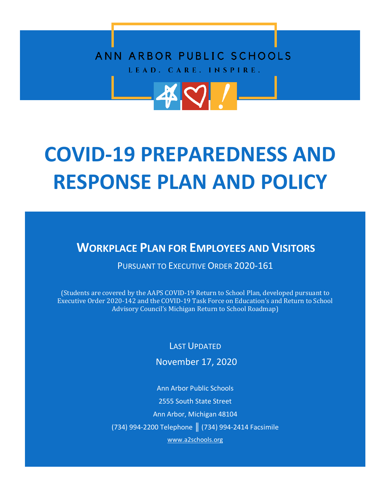## ANN ARBOR PUBLIC SCHOOLS LEAD. CARE. INSPIRE.



**WORKPLACE PLAN FOR EMPLOYEES AND VISITORS**

PURSUANT TO EXECUTIVE ORDER 2020-161

(Students are covered by the AAPS COVID-19 Return to School Plan, developed pursuant to Executive Order 2020-142 and the COVID-19 Task Force on Education's and Return to School Advisory Council's Michigan Return to School Roadmap)

LAST UPDATED

November 17, 2020

Ann Arbor Public Schools 2555 South State Street Ann Arbor, Michigan 48104 (734) 994-2200 Telephone ║ (734) 994-2414 Facsimile www.a2schools.org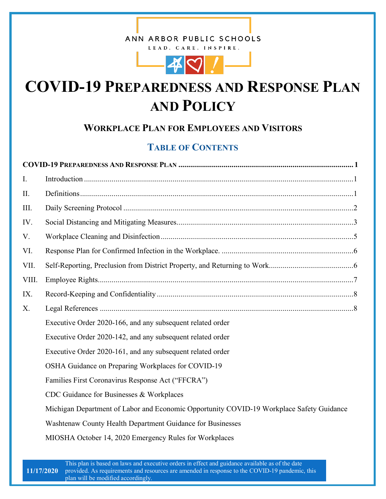### ANN ARBOR PUBLIC SCHOOLS

LEAD. CARE. INSPIRE.



# **COVID-19 PREPAREDNESS AND RESPONSE PLAN AND POLICY**

### **WORKPLACE PLAN FOR EMPLOYEES AND VISITORS**

### **TABLE OF CONTENTS**

| $\mathbf{I}$ . |                                                                                          |  |
|----------------|------------------------------------------------------------------------------------------|--|
| II.            |                                                                                          |  |
| III.           |                                                                                          |  |
| IV.            |                                                                                          |  |
| V.             |                                                                                          |  |
| VI.            |                                                                                          |  |
| VII.           |                                                                                          |  |
| VIII.          |                                                                                          |  |
| IX.            |                                                                                          |  |
| $X_{\cdot}$    |                                                                                          |  |
|                | Executive Order 2020-166, and any subsequent related order                               |  |
|                | Executive Order 2020-142, and any subsequent related order                               |  |
|                | Executive Order 2020-161, and any subsequent related order                               |  |
|                | OSHA Guidance on Preparing Workplaces for COVID-19                                       |  |
|                | Families First Coronavirus Response Act ("FFCRA")                                        |  |
|                | CDC Guidance for Businesses & Workplaces                                                 |  |
|                | Michigan Department of Labor and Economic Opportunity COVID-19 Workplace Safety Guidance |  |
|                | Washtenaw County Health Department Guidance for Businesses                               |  |
|                | MIOSHA October 14, 2020 Emergency Rules for Workplaces                                   |  |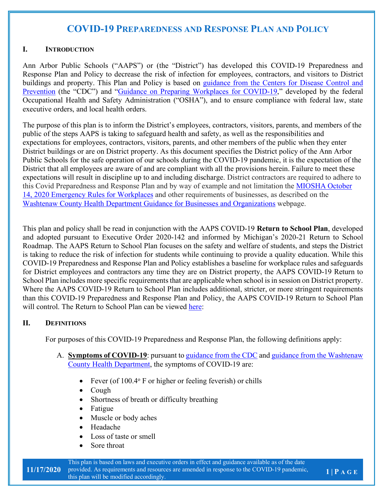#### **I. INTRODUCTION**

Ann Arbor Public Schools ("AAPS") or (the "District") has developed this COVID-19 Preparedness and Response Plan and Policy to decrease the risk of infection for employees, contractors, and visitors to District buildings and property. This Plan and Policy is based on guidance from the Centers for Disease Control and Prevention (the "CDC") and "Guidance on Preparing Workplaces for COVID-19," developed by the federal Occupational Health and Safety Administration ("OSHA"), and to ensure compliance with federal law, state executive orders, and local health orders.

The purpose of this plan is to inform the District's employees, contractors, visitors, parents, and members of the public of the steps AAPS is taking to safeguard health and safety, as well as the responsibilities and expectations for employees, contractors, visitors, parents, and other members of the public when they enter District buildings or are on District property. As this document specifies the District policy of the Ann Arbor Public Schools for the safe operation of our schools during the COVID-19 pandemic, it is the expectation of the District that all employees are aware of and are compliant with all the provisions herein. Failure to meet these expectations will result in discipline up to and including discharge. District contractors are required to adhere to this Covid Preparedness and Response Plan and by way of example and not limitation the MIOSHA October 14, 2020 Emergency Rules for Workplaces and other requirements of businesses, as described on the Washtenaw County Health Department Guidance for Businesses and Organizations webpage.

This plan and policy shall be read in conjunction with the AAPS COVID-19 **Return to School Plan**, developed and adopted pursuant to Executive Order 2020-142 and informed by Michigan's 2020-21 Return to School Roadmap. The AAPS Return to School Plan focuses on the safety and welfare of students, and steps the District is taking to reduce the risk of infection for students while continuing to provide a quality education. While this COVID-19 Preparedness and Response Plan and Policy establishes a baseline for workplace rules and safeguards for District employees and contractors any time they are on District property, the AAPS COVID-19 Return to School Plan includes more specific requirements that are applicable when school is in session on District property. Where the AAPS COVID-19 Return to School Plan includes additional, stricter, or more stringent requirements than this COVID-19 Preparedness and Response Plan and Policy, the AAPS COVID-19 Return to School Plan will control. The Return to School Plan can be viewed here:

#### **II. DEFINITIONS**

For purposes of this COVID-19 Preparedness and Response Plan, the following definitions apply:

- A. **Symptoms of COVID-19**: pursuant to guidance from the CDC and guidance from the Washtenaw County Health Department, the symptoms of COVID-19 are:
	- Fever (of 100.4° F or higher or feeling feverish) or chills
	- Cough
	- Shortness of breath or difficulty breathing
	- Fatigue
	- Muscle or body aches
	- Headache
	- Loss of taste or smell
	- Sore throat

This plan is based on laws and executive orders in effect and guidance available as of the date provided. As requirements and resources are amended in response to the COVID-19 pandemic, this plan will be modified accordingly.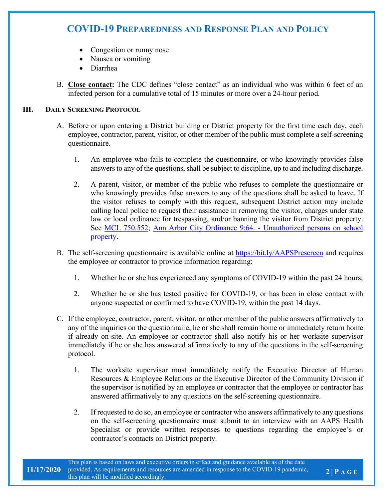- Congestion or runny nose
- Nausea or vomiting
- Diarrhea
- B. **Close contact:** The CDC defines "close contact" as an individual who was within 6 feet of an infected person for a cumulative total of 15 minutes or more over a 24-hour period.

#### **III. DAILY SCREENING PROTOCOL**

- A. Before or upon entering a District building or District property for the first time each day, each employee, contractor, parent, visitor, or other member of the public must complete a self-screening questionnaire.
	- 1. An employee who fails to complete the questionnaire, or who knowingly provides false answers to any of the questions, shall be subject to discipline, up to and including discharge.
	- 2. A parent, visitor, or member of the public who refuses to complete the questionnaire or who knowingly provides false answers to any of the questions shall be asked to leave. If the visitor refuses to comply with this request, subsequent District action may include calling local police to request their assistance in removing the visitor, charges under state law or local ordinance for trespassing, and/or banning the visitor from District property. See MCL 750.552; Ann Arbor City Ordinance 9:64. - Unauthorized persons on school property.
- B. The self-screening questionnaire is available online at https://bit.ly/AAPSPrescreen and requires the employee or contractor to provide information regarding:
	- 1. Whether he or she has experienced any symptoms of COVID-19 within the past 24 hours;
	- 2. Whether he or she has tested positive for COVID-19, or has been in close contact with anyone suspected or confirmed to have COVID-19, within the past 14 days.
- C. If the employee, contractor, parent, visitor, or other member of the public answers affirmatively to any of the inquiries on the questionnaire, he or she shall remain home or immediately return home if already on-site. An employee or contractor shall also notify his or her worksite supervisor immediately if he or she has answered affirmatively to any of the questions in the self-screening protocol.
	- 1. The worksite supervisor must immediately notify the Executive Director of Human Resources & Employee Relations or the Executive Director of the Community Division if the supervisor is notified by an employee or contractor that the employee or contractor has answered affirmatively to any questions on the self-screening questionnaire.
	- 2. If requested to do so, an employee or contractor who answers affirmatively to any questions on the self-screening questionnaire must submit to an interview with an AAPS Health Specialist or provide written responses to questions regarding the employee's or contractor's contacts on District property.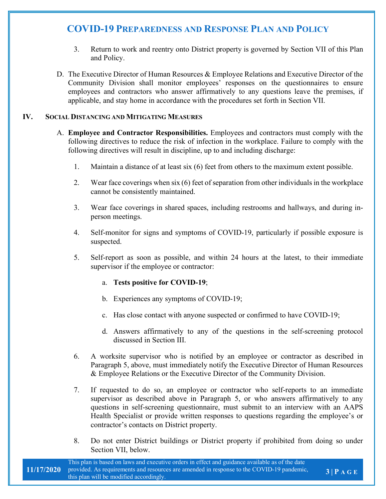- 3. Return to work and reentry onto District property is governed by Section VII of this Plan and Policy.
- D. The Executive Director of Human Resources & Employee Relations and Executive Director of the Community Division shall monitor employees' responses on the questionnaires to ensure employees and contractors who answer affirmatively to any questions leave the premises, if applicable, and stay home in accordance with the procedures set forth in Section VII.

#### **IV. SOCIAL DISTANCING AND MITIGATING MEASURES**

- A. **Employee and Contractor Responsibilities.** Employees and contractors must comply with the following directives to reduce the risk of infection in the workplace. Failure to comply with the following directives will result in discipline, up to and including discharge:
	- 1. Maintain a distance of at least six (6) feet from others to the maximum extent possible.
	- 2. Wear face coverings when six (6) feet of separation from other individuals in the workplace cannot be consistently maintained.
	- 3. Wear face coverings in shared spaces, including restrooms and hallways, and during inperson meetings.
	- 4. Self-monitor for signs and symptoms of COVID-19, particularly if possible exposure is suspected.
	- 5. Self-report as soon as possible, and within 24 hours at the latest, to their immediate supervisor if the employee or contractor:

#### a. **Tests positive for COVID-19**;

- b. Experiences any symptoms of COVID-19;
- c. Has close contact with anyone suspected or confirmed to have COVID-19;
- d. Answers affirmatively to any of the questions in the self-screening protocol discussed in Section III.
- 6. A worksite supervisor who is notified by an employee or contractor as described in Paragraph 5, above, must immediately notify the Executive Director of Human Resources & Employee Relations or the Executive Director of the Community Division.
- 7. If requested to do so, an employee or contractor who self-reports to an immediate supervisor as described above in Paragraph 5, or who answers affirmatively to any questions in self-screening questionnaire, must submit to an interview with an AAPS Health Specialist or provide written responses to questions regarding the employee's or contractor's contacts on District property.
- 8. Do not enter District buildings or District property if prohibited from doing so under Section VII, below.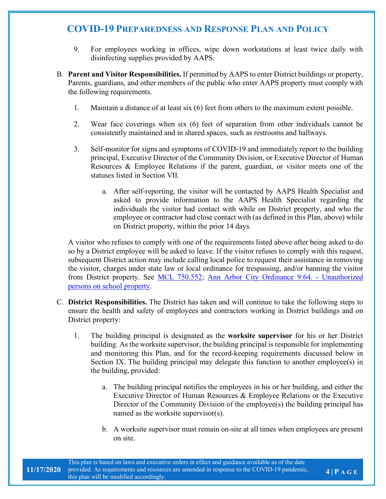- 9. For employees working in offices, wipe down workstations at least twice daily with disinfecting supplies provided by AAPS.
- B. **Parent and Visitor Responsibilities.** If permitted by AAPS to enter District buildings or property, Parents, guardians, and other members of the public who enter AAPS property must comply with the following requirements.
	- 1. Maintain a distance of at least six (6) feet from others to the maximum extent possible.
	- 2. Wear face coverings when six (6) feet of separation from other individuals cannot be consistently maintained and in shared spaces, such as restrooms and hallways.
	- 3. Self-monitor for signs and symptoms of COVID-19 and immediately report to the building principal, Executive Director of the Community Division, or Executive Director of Human Resources & Employee Relations if the parent, guardian, or visitor meets one of the statuses listed in Section VII.
		- a. After self-reporting, the visitor will be contacted by AAPS Health Specialist and asked to provide information to the AAPS Health Specialist regarding the individuals the visitor had contact with while on District property, and who the employee or contractor had close contact with (as defined in this Plan, above) while on District property, within the prior 14 days.

A visitor who refuses to comply with one of the requirements listed above after being asked to do so by a District employee will be asked to leave. If the visitor refuses to comply with this request, subsequent District action may include calling local police to request their assistance in removing the visitor, charges under state law or local ordinance for trespassing, and/or banning the visitor from District property. See MCL 750.552; Ann Arbor City Ordinance 9:64. - Unauthorized persons on school property.

- C. **District Responsibilities.** The District has taken and will continue to take the following steps to ensure the health and safety of employees and contractors working in District buildings and on District property:
	- 1. The building principal is designated as the **worksite supervisor** for his or her District building. As the worksite supervisor, the building principal is responsible for implementing and monitoring this Plan, and for the record-keeping requirements discussed below in Section IX. The building principal may delegate this function to another employee(s) in the building, provided:
		- a. The building principal notifies the employees in his or her building, and either the Executive Director of Human Resources & Employee Relations or the Executive Director of the Community Division of the employee(s) the building principal has named as the worksite supervisor(s).
		- b. A worksite supervisor must remain on-site at all times when employees are present on site.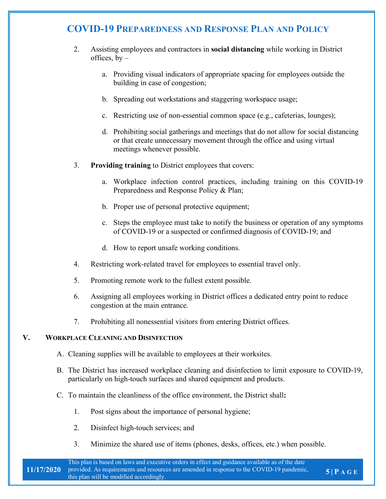- 2. Assisting employees and contractors in **social distancing** while working in District offices,  $bv$ 
	- a. Providing visual indicators of appropriate spacing for employees outside the building in case of congestion;
	- b. Spreading out workstations and staggering workspace usage;
	- c. Restricting use of non-essential common space (e.g., cafeterias, lounges);
	- d. Prohibiting social gatherings and meetings that do not allow for social distancing or that create unnecessary movement through the office and using virtual meetings whenever possible.
- 3. **Providing training** to District employees that covers:
	- a. Workplace infection control practices, including training on this COVID-19 Preparedness and Response Policy & Plan;
	- b. Proper use of personal protective equipment;
	- c. Steps the employee must take to notify the business or operation of any symptoms of COVID-19 or a suspected or confirmed diagnosis of COVID-19; and
	- d. How to report unsafe working conditions.
- 4. Restricting work-related travel for employees to essential travel only.
- 5. Promoting remote work to the fullest extent possible.
- 6. Assigning all employees working in District offices a dedicated entry point to reduce congestion at the main entrance.
- 7. Prohibiting all nonessential visitors from entering District offices.

#### **V. WORKPLACE CLEANING AND DISINFECTION**

- A. Cleaning supplies will be available to employees at their worksites.
- B. The District has increased workplace cleaning and disinfection to limit exposure to COVID-19, particularly on high-touch surfaces and shared equipment and products.
- C. To maintain the cleanliness of the office environment, the District shall**:**
	- 1. Post signs about the importance of personal hygiene;
	- 2. Disinfect high-touch services; and
	- 3. Minimize the shared use of items (phones, desks, offices, etc.) when possible.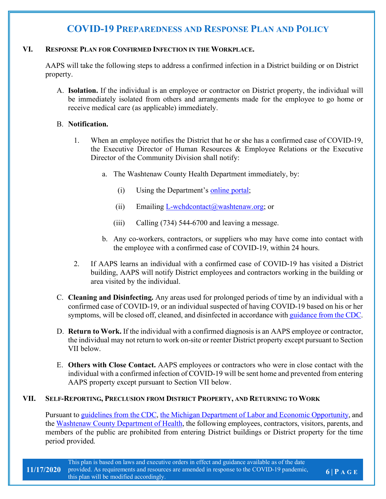#### **VI. RESPONSE PLAN FOR CONFIRMED INFECTION IN THE WORKPLACE.**

AAPS will take the following steps to address a confirmed infection in a District building or on District property.

A. **Isolation.** If the individual is an employee or contractor on District property, the individual will be immediately isolated from others and arrangements made for the employee to go home or receive medical care (as applicable) immediately.

#### B. **Notification.**

- 1. When an employee notifies the District that he or she has a confirmed case of COVID-19, the Executive Director of Human Resources & Employee Relations or the Executive Director of the Community Division shall notify:
	- a. The Washtenaw County Health Department immediately, by:
		- (i) Using the Department's online portal;
		- (ii) Emailing  $L$ -wchdcontact $(a)$  washtenaw.org; or
		- (iii) Calling (734) 544-6700 and leaving a message.
	- b. Any co-workers, contractors, or suppliers who may have come into contact with the employee with a confirmed case of COVID-19, within 24 hours.
- 2. If AAPS learns an individual with a confirmed case of COVID-19 has visited a District building, AAPS will notify District employees and contractors working in the building or area visited by the individual.
- C. **Cleaning and Disinfecting.** Any areas used for prolonged periods of time by an individual with a confirmed case of COVID-19, or an individual suspected of having COVID-19 based on his or her symptoms, will be closed off, cleaned, and disinfected in accordance with guidance from the CDC.
- D. **Return to Work.** If the individual with a confirmed diagnosis is an AAPS employee or contractor, the individual may not return to work on-site or reenter District property except pursuant to Section VII below.
- E. **Others with Close Contact.** AAPS employees or contractors who were in close contact with the individual with a confirmed infection of COVID-19 will be sent home and prevented from entering AAPS property except pursuant to Section VII below.

#### **VII. SELF-REPORTING, PRECLUSION FROM DISTRICT PROPERTY, AND RETURNING TO WORK**

Pursuant to guidelines from the CDC, the Michigan Department of Labor and Economic Opportunity, and the Washtenaw County Department of Health, the following employees, contractors, visitors, parents, and members of the public are prohibited from entering District buildings or District property for the time period provided.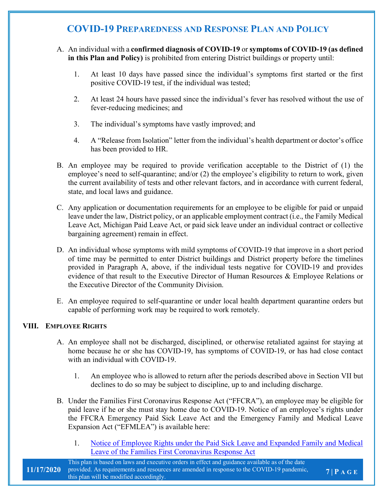- A. An individual with a **confirmed diagnosis of COVID-19** or **symptoms of COVID-19 (as defined in this Plan and Policy)** is prohibited from entering District buildings or property until:
	- 1. At least 10 days have passed since the individual's symptoms first started or the first positive COVID-19 test, if the individual was tested;
	- 2. At least 24 hours have passed since the individual's fever has resolved without the use of fever-reducing medicines; and
	- 3. The individual's symptoms have vastly improved; and
	- 4. A "Release from Isolation" letter from the individual's health department or doctor's office has been provided to HR.
- B. An employee may be required to provide verification acceptable to the District of (1) the employee's need to self-quarantine; and/or (2) the employee's eligibility to return to work, given the current availability of tests and other relevant factors, and in accordance with current federal, state, and local laws and guidance.
- C. Any application or documentation requirements for an employee to be eligible for paid or unpaid leave under the law, District policy, or an applicable employment contract (i.e., the Family Medical Leave Act, Michigan Paid Leave Act, or paid sick leave under an individual contract or collective bargaining agreement) remain in effect.
- D. An individual whose symptoms with mild symptoms of COVID-19 that improve in a short period of time may be permitted to enter District buildings and District property before the timelines provided in Paragraph A, above, if the individual tests negative for COVID-19 and provides evidence of that result to the Executive Director of Human Resources & Employee Relations or the Executive Director of the Community Division.
- E. An employee required to self-quarantine or under local health department quarantine orders but capable of performing work may be required to work remotely.

### **VIII. EMPLOYEE RIGHTS**

- A. An employee shall not be discharged, disciplined, or otherwise retaliated against for staying at home because he or she has COVID-19, has symptoms of COVID-19, or has had close contact with an individual with COVID-19.
	- 1. An employee who is allowed to return after the periods described above in Section VII but declines to do so may be subject to discipline, up to and including discharge.
- B. Under the Families First Coronavirus Response Act ("FFCRA"), an employee may be eligible for paid leave if he or she must stay home due to COVID-19. Notice of an employee's rights under the FFCRA Emergency Paid Sick Leave Act and the Emergency Family and Medical Leave Expansion Act ("EFMLEA") is available here:
	- 1. Notice of Employee Rights under the Paid Sick Leave and Expanded Family and Medical Leave of the Families First Coronavirus Response Act

**7 | P A G E**